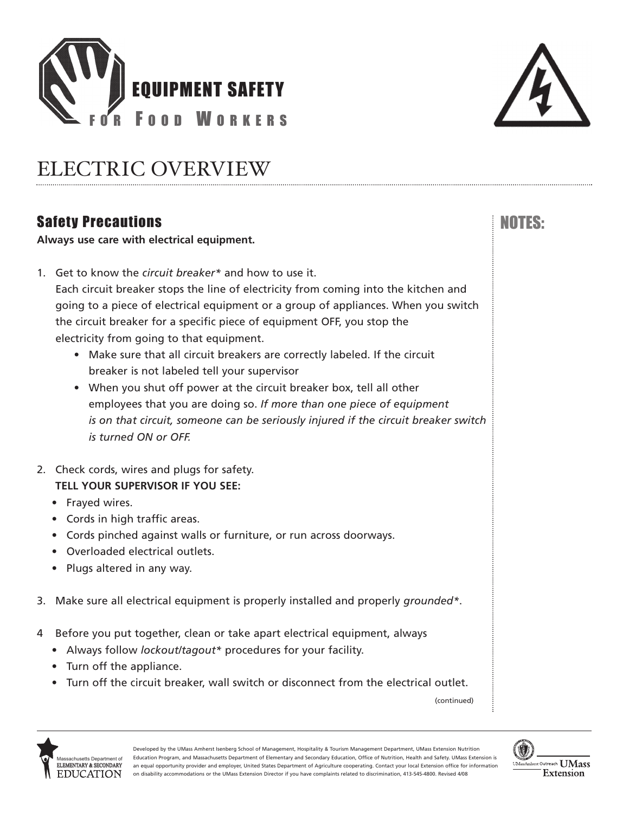



NOTES:

## ELECTRIC OVERVIEW

### Safety Precautions

**Always use care with electrical equipment.** 

- 1. Get to know the *circuit breaker\** and how to use it. Each circuit breaker stops the line of electricity from coming into the kitchen and going to a piece of electrical equipment or a group of appliances. When you switch the circuit breaker for a specific piece of equipment OFF, you stop the electricity from going to that equipment.
	- Make sure that all circuit breakers are correctly labeled. If the circuit breaker is not labeled tell your supervisor
	- When you shut off power at the circuit breaker box, tell all other employees that you are doing so. *If more than one piece of equipment is on that circuit, someone can be seriously injured if the circuit breaker switch is turned ON or OFF.*
- 2. Check cords, wires and plugs for safety. **TELL YOUR SUPERVISOR IF YOU SEE:** 
	- Frayed wires.
	- Cords in high traffic areas.
	- Cords pinched against walls or furniture, or run across doorways.
	- Overloaded electrical outlets.
	- Plugs altered in any way.
- 3. Make sure all electrical equipment is properly installed and properly *grounded\**.
- 4 Before you put together, clean or take apart electrical equipment, always
	- Always follow *lockout/tagout\** procedures for your facility.
	- Turn off the appliance.
	- Turn off the circuit breaker, wall switch or disconnect from the electrical outlet.

(continued)



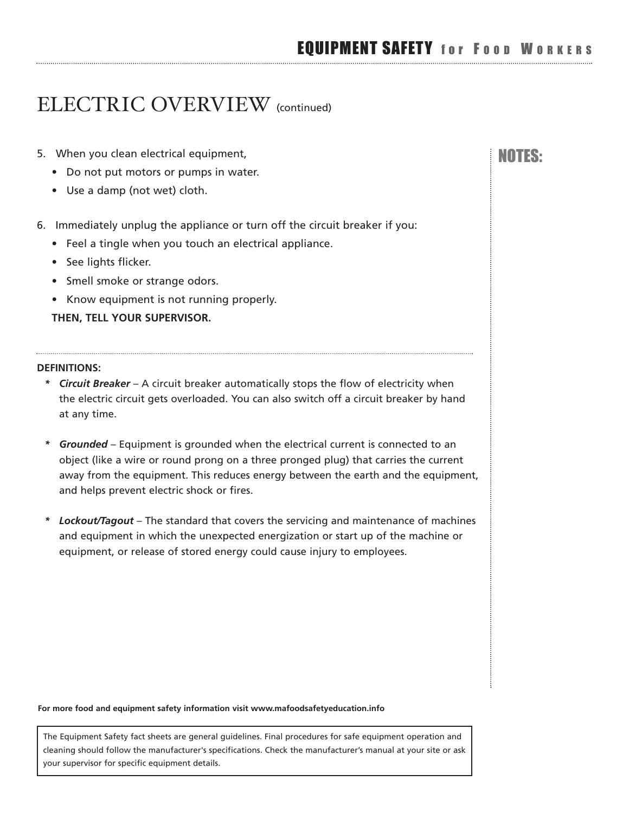### ELECTRIC OVERVIEW (continued)

- 5. When you clean electrical equipment, November 2012 1999 and Note in the USS:
	- Do not put motors or pumps in water.
	- Use a damp (not wet) cloth.
- 6. Immediately unplug the appliance or turn off the circuit breaker if you:
	- Feel a tingle when you touch an electrical appliance.
	- See lights flicker.
	- Smell smoke or strange odors.
	- Know equipment is not running properly.

**THEN, TELL YOUR SUPERVISOR.** 

#### **DEFINITIONS:**

- *\* Circuit Breaker* A circuit breaker automatically stops the flow of electricity when the electric circuit gets overloaded. You can also switch off a circuit breaker by hand at any time.
- *\* Grounded* Equipment is grounded when the electrical current is connected to an object (like a wire or round prong on a three pronged plug) that carries the current away from the equipment. This reduces energy between the earth and the equipment, and helps prevent electric shock or fires.
- *\* Lockout/Tagout* The standard that covers the servicing and maintenance of machines and equipment in which the unexpected energization or start up of the machine or equipment, or release of stored energy could cause injury to employees.

#### **For more food and equipment safety information visit<www.mafoodsafetyeducation.info>**

The Equipment Safety fact sheets are general guidelines. Final procedures for safe equipment operation and cleaning should follow the manufacturer's specifications. Check the manufacturer's manual at your site or ask your supervisor for specific equipment details.